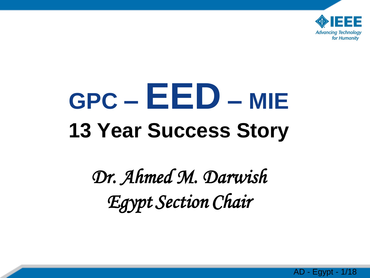

# **GPC – EED – MIE 13 Year Success Story**

*Dr. Ahmed M. Darwish Egypt Section Chair*

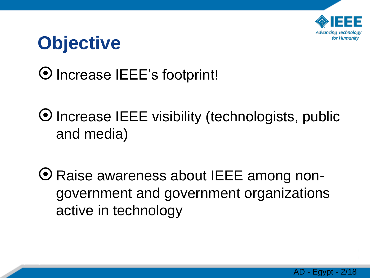

### **Objective**

4/5/2014 2

#### Increase IEEE's footprint!

Increase IEEE visibility (technologists, public and media)

Raise awareness about IEEE among nongovernment and government organizations active in technology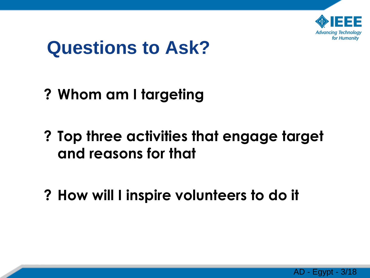

### **Questions to Ask?**

**? Whom am I targeting**

- **? Top three activities that engage target and reasons for that**
- **? How will I inspire volunteers to do it**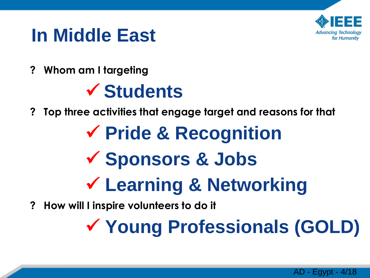

### **In Middle East**

**? Whom am I targeting**

4/5/2014 4

### **Students**

- **? Top three activities that engage target and reasons for that**
	- **Pride & Recognition Sponsors & Jobs Learning & Networking**
- **? How will I inspire volunteers to do it**

**Young Professionals (GOLD)**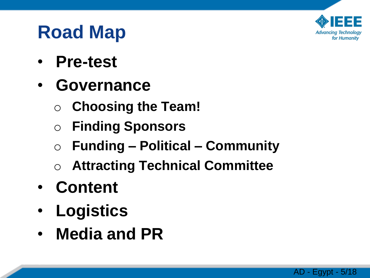

### **Road Map**

- **Pre-test**
- **Governance**
	- o **Choosing the Team!**
	- o **Finding Sponsors**
	- o **Funding – Political – Community**
	- o **Attracting Technical Committee**
- **Content**

- **Logistics**
- **Media and PR**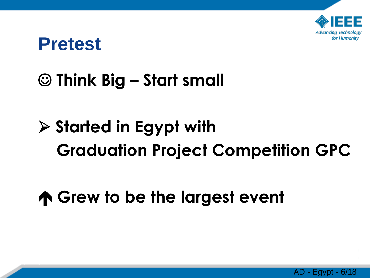

#### **Pretest**

4/5/2014 6

#### **Think Big – Start small**

# **Started in Egypt with Graduation Project Competition GPC**

### **Grew to be the largest event**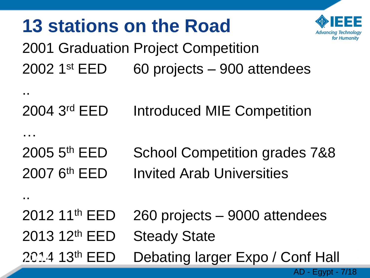

AD - Egypt - 7/18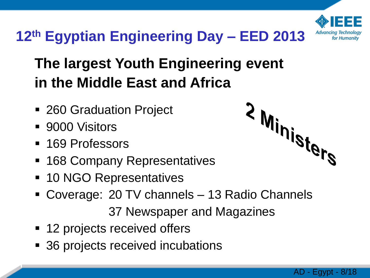

#### **12th Egyptian Engineering Day – EED 2013**

#### **The largest Youth Engineering event in the Middle East and Africa**

- 260 Graduation Project
- 9000 Visitors

8 |

- 169 Professors
- **168 Company Representatives**
- 10 NGO Representatives
- Coverage: 20 TV channels 13 Radio Channels 37 Newspaper and Magazines
- 12 projects received offers
- 36 projects received incubations



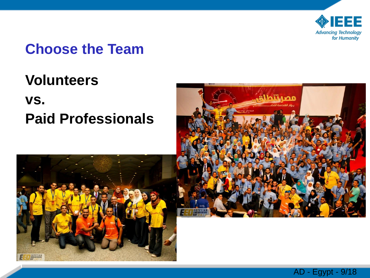

#### **Choose the Team**

#### **Volunteers**

#### **vs. Paid Professionals**





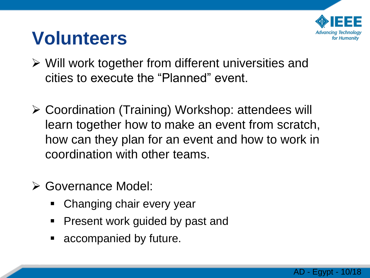

### **Volunteers**

- $\triangleright$  Will work together from different universities and cities to execute the "Planned" event.
- Coordination (Training) Workshop: attendees will learn together how to make an event from scratch, how can they plan for an event and how to work in coordination with other teams.
- Governance Model:

- **EXE** Changing chair every year
- **Present work guided by past and**
- **Exercise accompanied by future.**

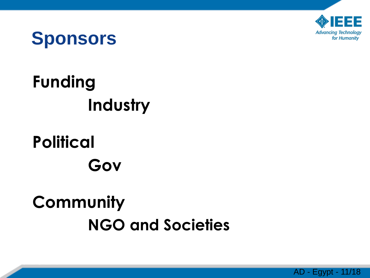

### **Sponsors**

# **Funding Industry**

### **Political Gov**

4/5/2014 11

### **Community NGO and Societies**

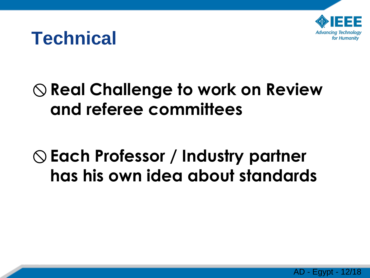

### **Technical**

4/5/2014 12

### **Real Challenge to work on Review and referee committees**

### **Each Professor / Industry partner has his own idea about standards**

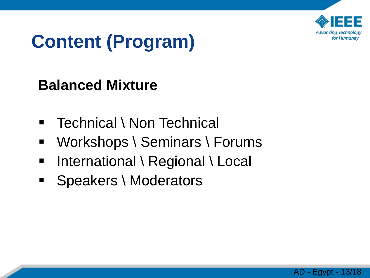

# **Content (Program)**

#### **Balanced Mixture**

13

- Technical \ Non Technical
- Workshops \ Seminars \ Forums
- International \ Regional \ Local
- **Speakers \ Moderators**

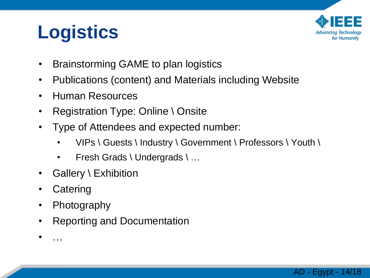# **Logistics**



AD - Egypt - 14/18

- Brainstorming GAME to plan logistics
- Publications (content) and Materials including Website
- Human Resources
- Registration Type: Online \ Onsite
- Type of Attendees and expected number:
	- VIPs \ Guests \ Industry \ Government \ Professors \ Youth \
	- Fresh Grads \ Undergrads \ ...
- Gallery \ Exhibition
- **Catering**
- Photography
- Reporting and Documentation
- …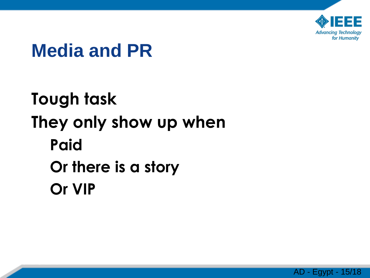

### **Media and PR**

4/5/2014 15

**Tough task They only show up when Paid Or there is a story Or VIP**

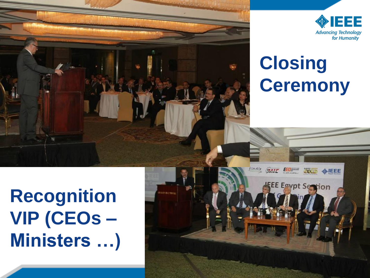



# **Closing Ceremony**

**Recognition VIP (CEOs – Ministers …)**

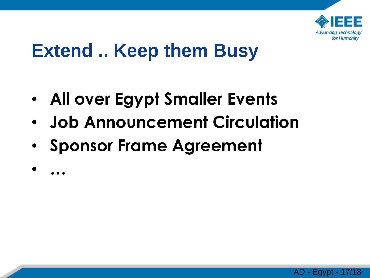

### **Extend .. Keep them Busy**

- **All over Egypt Smaller Events**
- **Job Announcement Circulation**
- **Sponsor Frame Agreement**
- •

**…**